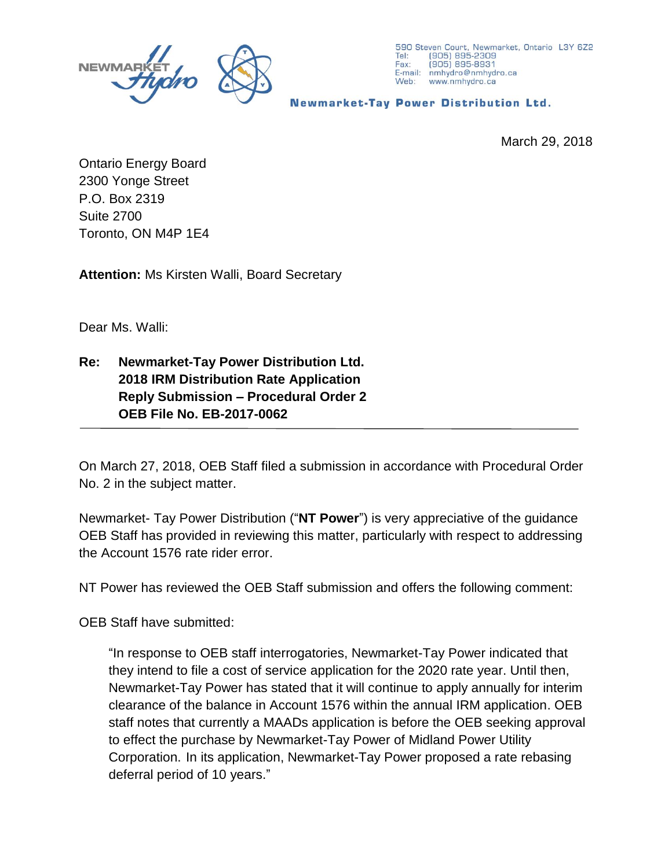



**Newmarket-Tay Power Distribution Ltd.** 

March 29, 2018

Ontario Energy Board 2300 Yonge Street P.O. Box 2319 Suite 2700 Toronto, ON M4P 1E4

**Attention:** Ms Kirsten Walli, Board Secretary

Dear Ms. Walli:

## **Re: Newmarket-Tay Power Distribution Ltd. 2018 IRM Distribution Rate Application Reply Submission – Procedural Order 2 OEB File No. EB-2017-0062**

On March 27, 2018, OEB Staff filed a submission in accordance with Procedural Order No. 2 in the subject matter.

Newmarket- Tay Power Distribution ("**NT Power**") is very appreciative of the guidance OEB Staff has provided in reviewing this matter, particularly with respect to addressing the Account 1576 rate rider error.

NT Power has reviewed the OEB Staff submission and offers the following comment:

OEB Staff have submitted:

"In response to OEB staff interrogatories, Newmarket-Tay Power indicated that they intend to file a cost of service application for the 2020 rate year. Until then, Newmarket-Tay Power has stated that it will continue to apply annually for interim clearance of the balance in Account 1576 within the annual IRM application. OEB staff notes that currently a MAADs application is before the OEB seeking approval to effect the purchase by Newmarket-Tay Power of Midland Power Utility Corporation. In its application, Newmarket-Tay Power proposed a rate rebasing deferral period of 10 years."